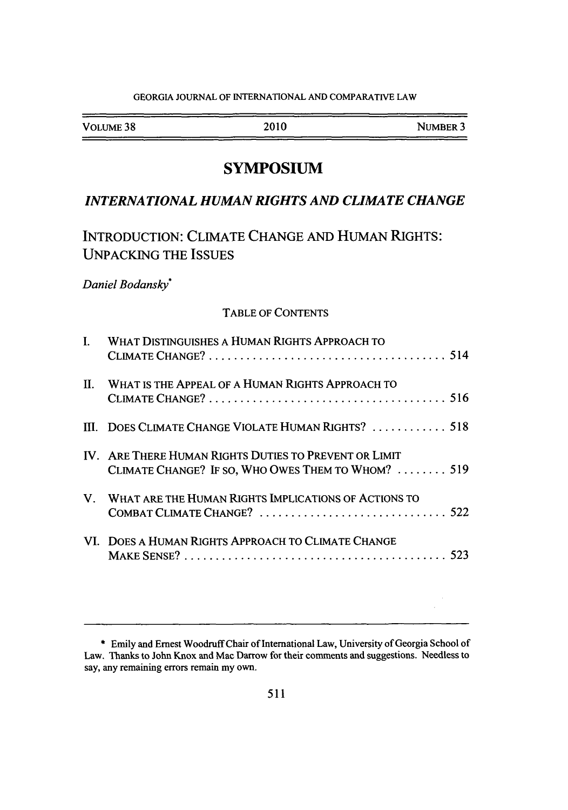#### GEORGIA JOURNAL OF INTERNATIONAL AND COMPARATIVE LAW

| _____                |      | -----    |
|----------------------|------|----------|
| VOLUME <sub>38</sub> | 2010 | NUMBER 3 |
|                      |      |          |

# **SYMPOSIUM**

# *INTERNATIONAL HUMAN RIGHTS AND CLIMATE CHANGE*

# **INTRODUCTION: CLIMATE CHANGE AND HUMAN RIGHTS: UNPACKING** THE **ISSUES**

# *Daniel Bodansky\**

# TABLE OF **CONTENTS**

| L       | WHAT DISTINGUISHES A HUMAN RIGHTS APPROACH TO                                                               |
|---------|-------------------------------------------------------------------------------------------------------------|
| $\Pi$ . | WHAT IS THE APPEAL OF A HUMAN RIGHTS APPROACH TO                                                            |
|         | III. DOES CLIMATE CHANGE VIOLATE HUMAN RIGHTS?  518                                                         |
|         | IV. ARE THERE HUMAN RIGHTS DUTIES TO PREVENT OR LIMIT<br>CLIMATE CHANGE? IF SO, WHO OWES THEM TO WHOM?  519 |
| V.      | WHAT ARE THE HUMAN RIGHTS IMPLICATIONS OF ACTIONS TO                                                        |
|         | VI. DOES A HUMAN RIGHTS APPROACH TO CLIMATE CHANGE                                                          |

**<sup>\*</sup>** Emily and Ernest Woodruff Chair of International Law, University of Georgia School of Law. Thanks to John Knox and Mac Darrow for their comments and suggestions. Needless to say, any remaining errors remain my own.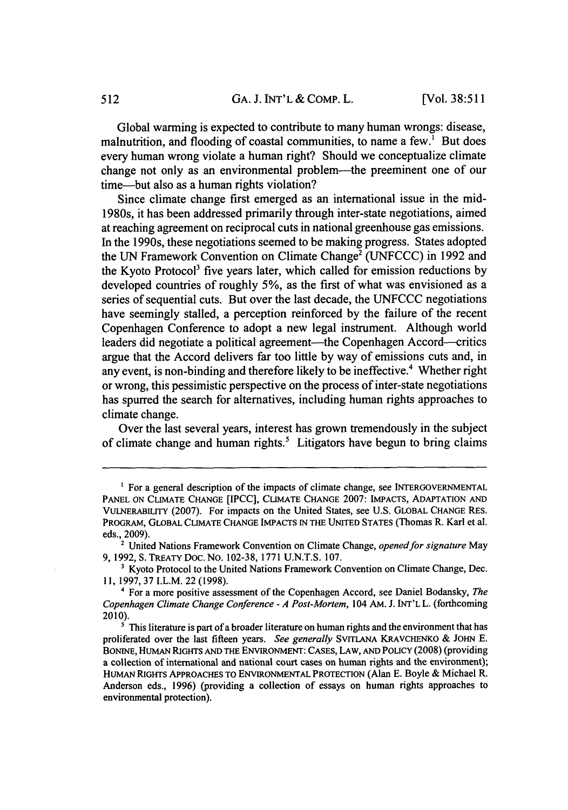Global warming is expected to contribute to many human wrongs: disease, malnutrition, and flooding of coastal communities, to name a few.<sup>1</sup> But does every human wrong violate a human right? Should we conceptualize climate change not only as an environmental problem—the preeminent one of our time-but also as a human rights violation?

Since climate change first emerged as an international issue in the mid-1980s, it has been addressed primarily through inter-state negotiations, aimed at reaching agreement on reciprocal cuts in national greenhouse gas emissions. In the 1990s, these negotiations seemed to be making progress. States adopted the UN Framework Convention on Climate Change<sup>2</sup> (UNFCCC) in 1992 and the Kyoto Protocol3 five years later, which called for emission reductions by developed countries of roughly 5%, as the first of what was envisioned as a series of sequential cuts. But over the last decade, the UNFCCC negotiations have seemingly stalled, a perception reinforced by the failure of the recent Copenhagen Conference to adopt a new legal instrument. Although world leaders did negotiate a political agreement—the Copenhagen Accord—critics argue that the Accord delivers far too little by way of emissions cuts and, in any event, is non-binding and therefore likely to be ineffective.<sup>4</sup> Whether right or wrong, this pessimistic perspective on the process of inter-state negotiations has spurred the search for alternatives, including human rights approaches to climate change.

Over the last several years, interest has grown tremendously in the subject of climate change and human rights.<sup>5</sup> Litigators have begun to bring claims

<sup>&</sup>lt;sup>1</sup> For a general description of the impacts of climate change, see INTERGOVERNMENTAL PANEL ON CLIMATE CHANGE [IPCC], CLIMATE CHANGE 2007: IMPACTS, **ADAPTATION AND** VULNERABILITY (2007). For impacts on the United States, see U.S. GLOBAL CHANGE RES. PROGRAM, GLOBAL CLIMATE CHANGE IMPACTS IN THE UNITED STATES (Thomas R. Karl et al. eds., 2009).

<sup>2</sup>United Nations Framework Convention on Climate Change, *opened for signature* May 9, 1992, S. TREATY Doc. NO. 102-38, 1771 U.N.T.S. 107.

**<sup>&#</sup>x27;** Kyoto Protocol to the United Nations Framework Convention on Climate Change, Dec. **11,** 1997, 37 I.L.M. 22 (1998).

<sup>4</sup> For a more positive assessment of the Copenhagen Accord, see Daniel Bodansky, *The Copenhagen Climate Change Conference* - *A Post-Mortem,* 104 AM. J. INT'L L. (forthcoming 2010).

<sup>&</sup>lt;sup>5</sup> This literature is part of a broader literature on human rights and the environment that has proliferated over the last fifteen years. *See generally* SVITLANA KRAVCHENKO & JOHN E. BONINE, HUMAN RIGHTS AND THE ENVIRONMENT: CASES, LAW, AND POLICY (2008) (providing a collection of international and national court cases on human rights and the environment); HUMAN RIGHTS APPROACHES TO ENVIRONMENTAL PROTECTION (Alan E. Boyle & Michael R. Anderson eds., 1996) (providing a collection of essays on human rights approaches to environmental protection).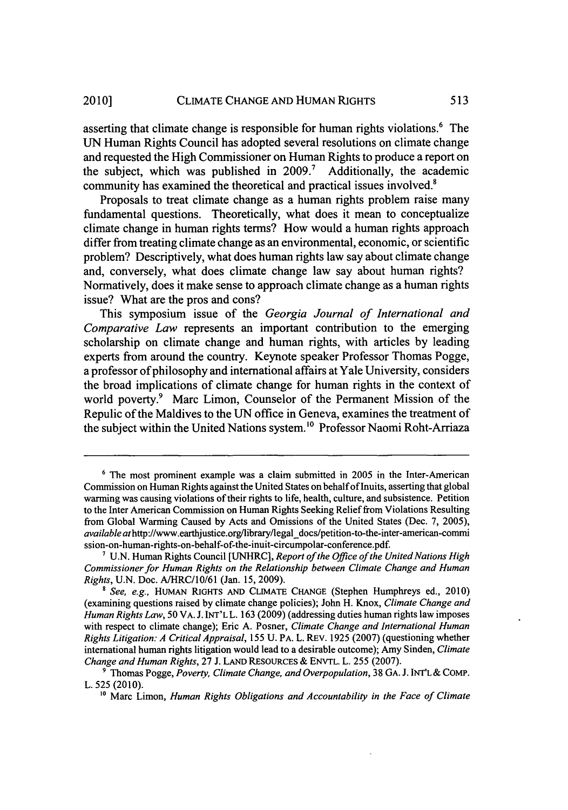asserting that climate change is responsible for human rights violations.<sup>6</sup> The UN Human Rights Council has adopted several resolutions on climate change and requested the High Commissioner on Human Rights to produce a report on the subject, which was published in  $2009$ .<sup>7</sup> Additionally, the academic community has examined the theoretical and practical issues involved.'

Proposals to treat climate change as a human rights problem raise many fundamental questions. Theoretically, what does it mean to conceptualize climate change in human rights terms? How would a human rights approach differ from treating climate change as an environmental, economic, or scientific problem? Descriptively, what does human rights law say about climate change and, conversely, what does climate change law say about human rights? Normatively, does it make sense to approach climate change as a human rights issue? What are the pros and cons?

This symposium issue of the *Georgia Journal of International and Comparative Law* represents an important contribution to the emerging scholarship on climate change and human rights, with articles by leading experts from around the country. Keynote speaker Professor Thomas Pogge, a professor of philosophy and international affairs at Yale University, considers the broad implications of climate change for human rights in the context of world poverty.<sup>9</sup> Marc Limon, Counselor of the Permanent Mission of the Repulic of the Maldives to the UN office in Geneva, examines the treatment of the subject within the United Nations system.<sup>10</sup> Professor Naomi Roht-Arriaza

**<sup>6</sup>** The most prominent example was a claim submitted in 2005 in the Inter-American Commission on Human Rights against the United States on behalf of Inuits, asserting that global warming was causing violations of their rights to life, health, culture, and subsistence. Petition to the Inter American Commission on Human Rights Seeking Relief from Violations Resulting from Global Warming Caused by Acts and Omissions of the United States (Dec. 7, 2005), *available* athttp://www.earthjustice.org/library/legaldocs/petition-to-the-inter-american-commi ssion-on-human-rights-on-behalf-of-the-inuit-circumpolar-conference.pdf.

**<sup>&#</sup>x27;** U.N. Human Rights Council [UNHRC], *Report of the Office of the United Nations High Commissioner for Human Rights on the Relationship between Climate Change and Human Rights,* U.N. Doc. A/HRC/l0/61 (Jan. 15, 2009).

*<sup>8</sup> See, e.g.,* HUMAN RIGHTS **AND** CLIMATE CHANGE (Stephen Humphreys ed., 2010) (examining questions raised by climate change policies); John H. Knox, *Climate Change and Human Rights Law,* 50 VA. J. INT'L L. 163 (2009) (addressing duties human fights law imposes with respect to climate change); Eric A. Posner, *Climate Change and International Human Rights Litigation: A Critical Appraisal,* 155 U. PA. L. REV. 1925 (2007) (questioning whether international human rights litigation would lead to a desirable outcome); Amy Sinden, *Climate Change and Human Rights,* 27 J. LAND RESOURCES & ENVTL. L. 255 (2007).

**<sup>9</sup>** Thomas Pogge, *Poverty, Climate Change, and Overpopulation,* 38 GA. J. INT'L & COMP. L. 525 (2010). **<sup>10</sup>**Marc Limon, *Human Rights Obligations and Accountability in the Face of Climate*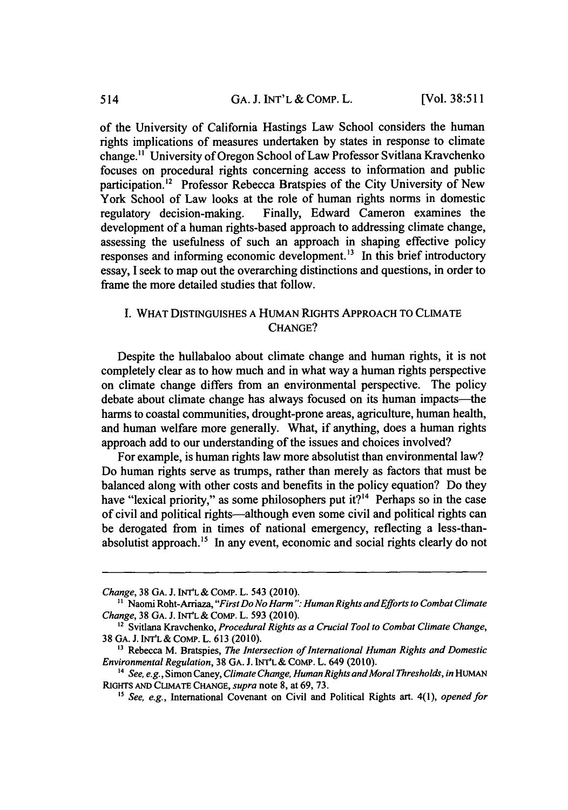of the University of California Hastings Law School considers the human rights implications of measures undertaken by states in response to climate change." University of Oregon School of Law Professor Svitlana Kravchenko focuses on procedural rights concerning access to information and public participation.<sup>12</sup> Professor Rebecca Bratspies of the City University of New York School of Law looks at the role of human rights norms in domestic<br>regulatory decision-making. Finally, Edward Cameron examines the Finally, Edward Cameron examines the development of a human rights-based approach to addressing climate change, assessing the usefulness of such an approach in shaping effective policy responses and informing economic development.<sup>13</sup> In this brief introductory essay, I seek to map out the overarching distinctions and questions, in order to frame the more detailed studies that follow.

# I. WHAT DISTINGUISHES A HUMAN RIGHTS APPROACH TO CLIMATE CHANGE?

Despite the hullabaloo about climate change and human rights, it is not completely clear as to how much and in what way a human rights perspective on climate change differs from an environmental perspective. The policy debate about climate change has always focused on its human impacts—the harms to coastal communities, drought-prone areas, agriculture, human health, and human welfare more generally. What, if anything, does a human rights approach add to our understanding of the issues and choices involved?

For example, is human rights law more absolutist than environmental law? Do human rights serve as trumps, rather than merely as factors that must be balanced along with other costs and benefits in the policy equation? Do they have "lexical priority," as some philosophers put it?<sup>14</sup> Perhaps so in the case of civil and political rights-although even some civil and political rights can be derogated from in times of national emergency, reflecting a less-thanabsolutist approach.<sup>15</sup> In any event, economic and social rights clearly do not

*Change,* 38 GA. **J. INT'L** & **COMP.** L. 543 (2010).

**<sup>&</sup>quot;** Naomi Roht-Arriaza, *"First Do No Harm ": Human Rights andEfforts to Combat Climate Change,* **38** GA. J. **INT'L & COMP.** L. **593** (2010).

*<sup>2</sup>* Svitlana Kravchenko, *Procedural Rights as a Crucial Tool to Combat Climate Change,* **38 GA. J. INT'L&** COmP. L. 613 (2010).

**<sup>13</sup>**Rebecca M. Bratspies, *The Intersection of International Human Rights and Domestic Environmental Regulation,* **38** GA. J. **INT'L &** CoMP. L. 649 (2010).

<sup>&</sup>lt;sup>14</sup> See, e.g., Simon Caney, *Climate Change, Human Rights and Moral Thresholds*, in HUMAN RIGHTS **AND CLIMATE CHANGE,** *supra* note 8, at 69, 73.

**<sup>&</sup>quot;** *See, e.g.,* International Covenant on Civil and Political Rights art. 4(1), *opened for*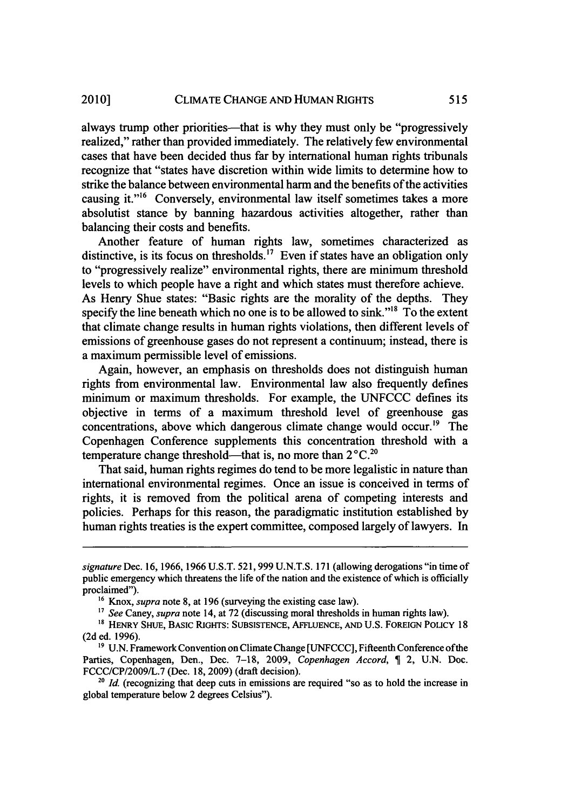always trump other priorities—that is why they must only be "progressively realized," rather than provided immediately. The relatively few environmental cases that have been decided thus far by international human rights tribunals recognize that "states have discretion within wide limits to determine how to strike the balance between environmental harm and the benefits of the activities causing it."<sup>16</sup> Conversely, environmental law itself sometimes takes a more absolutist stance by banning hazardous activities altogether, rather than balancing their costs and benefits.

Another feature of human rights law, sometimes characterized as distinctive, is its focus on thresholds.<sup>17</sup> Even if states have an obligation only to "progressively realize" environmental rights, there are minimum threshold levels to which people have a right and which states must therefore achieve. As Henry Shue states: "Basic rights are the morality of the depths. They specify the line beneath which no one is to be allowed to sink."<sup>18</sup> To the extent that climate change results in human rights violations, then different levels of emissions of greenhouse gases do not represent a continuum; instead, there is a maximum permissible level of emissions.

Again, however, an emphasis on thresholds does not distinguish human rights from environmental law. Environmental law also frequently defines minimum or maximum thresholds. For example, the UNFCCC defines its objective in terms of a maximum threshold level of greenhouse gas concentrations, above which dangerous climate change would occur.<sup>19</sup> The Copenhagen Conference supplements this concentration threshold with a temperature change threshold-that is, no more than  $2^{\circ}C$ .<sup>20</sup>

That said, human rights regimes do tend to be more legalistic in nature than international environmental regimes. Once an issue is conceived in terms of rights, it is removed from the political arena of competing interests and policies. Perhaps for this reason, the paradigmatic institution established by human rights treaties is the expert committee, composed largely of lawyers. In

*signature* Dec. 16, 1966, 1966 U.S.T. 521,999 U.N.T.S. 171 (allowing derogations "in time of public emergency which threatens the life of the nation and the existence of which is officially proclaimed").

<sup>&</sup>lt;sup>16</sup> Knox, *supra* note 8, at 196 (surveying the existing case law).

<sup>&</sup>lt;sup>17</sup> See Caney, *supra* note 14, at 72 (discussing moral thresholds in human rights law).

<sup>&</sup>lt;sup>18</sup> HENRY SHUE, BASIC RIGHTS: SUBSISTENCE, AFFLUENCE, AND U.S. FOREIGN POLICY 18 (2d ed. 1996).

<sup>19</sup> U.N. Framework Convention on Climate Change [UNFCCC], Fifteenth Conference of the Parties, Copenhagen, Den., Dec. 7-18, 2009, *Copenhagen Accord*, **1** 2, U.N. Doc. FCCC/CP/2009/L.7 (Dec. 18, 2009) (draft decision).

**<sup>20</sup>** *Id.* (recognizing that deep cuts in emissions are required "so as to hold the increase in global temperature below 2 degrees Celsius").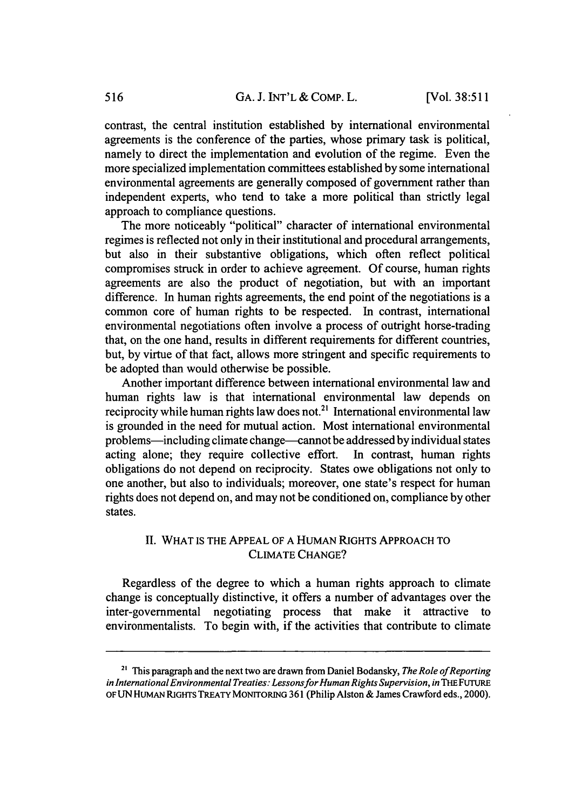contrast, the central institution established by international environmental agreements is the conference of the parties, whose primary task is political, namely to direct the implementation and evolution of the regime. Even the more specialized implementation committees established by some international environmental agreements are generally composed of government rather than independent experts, who tend to take a more political than strictly legal approach to compliance questions.

The more noticeably "political" character of international environmental regimes is reflected not only in their institutional and procedural arrangements, but also in their substantive obligations, which often reflect political compromises struck in order to achieve agreement. Of course, human rights agreements are also the product of negotiation, but with an important difference. In human rights agreements, the end point of the negotiations is a common core of human rights to be respected. In contrast, international environmental negotiations often involve a process of outright horse-trading that, on the one hand, results in different requirements for different countries, but, by virtue of that fact, allows more stringent and specific requirements to be adopted than would otherwise be possible.

Another important difference between international environmental law and human rights law is that international environmental law depends on reciprocity while human rights law does not.<sup>21</sup> International environmental law is grounded in the need for mutual action. Most international environmental problems-including climate change-cannot be addressed by individual states acting alone; they require collective effort. In contrast, human rights obligations do not depend on reciprocity. States owe obligations not only to one another, but also to individuals; moreover, one state's respect for human rights does not depend on, and may not be conditioned on, compliance by other states.

### II. WHAT IS THE APPEAL OF A HUMAN RIGHTS APPROACH TO CLIMATE CHANGE?

Regardless of the degree to which a human rights approach to climate change is conceptually distinctive, it offers a number of advantages over the inter-governmental negotiating process that make it attractive to environmentalists. To begin with, if the activities that contribute to climate

<sup>&</sup>lt;sup>21</sup> This paragraph and the next two are drawn from Daniel Bodansky, *The Role of Reporting* in International Environmental Treaties: Lessons for Human Rights Supervision, in THE FUTURE OF UN HUMAN RIGHTS TREATY MONITORING 361 (Philip Alston & James Crawford eds., 2000).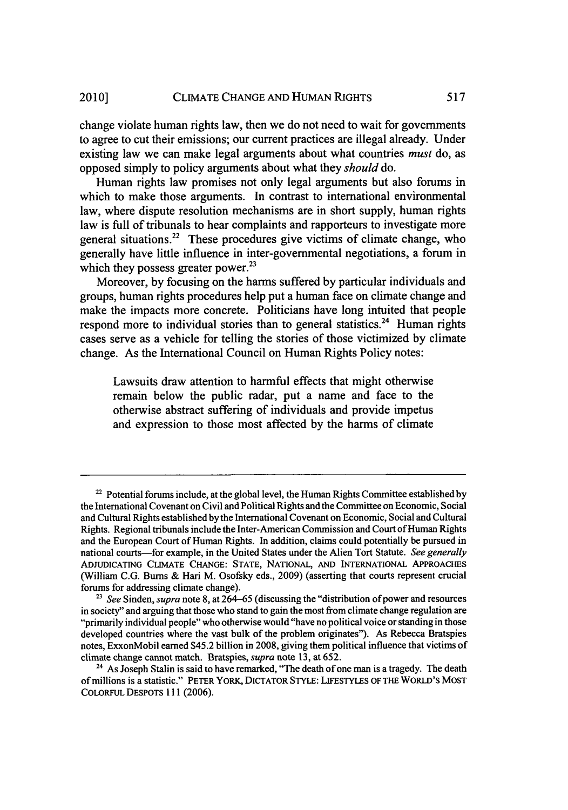change violate human rights law, then we do not need to wait for governments to agree to cut their emissions; our current practices are illegal already. Under existing law we can make legal arguments about what countries *must* do, as opposed simply to policy arguments about what they *should* do.

Human rights law promises not only legal arguments but also forums in which to make those arguments. In contrast to international environmental law, where dispute resolution mechanisms are in short supply, human rights law is full of tribunals to hear complaints and rapporteurs to investigate more general situations.<sup>22</sup> These procedures give victims of climate change, who generally have little influence in inter-governmental negotiations, a forum in which they possess greater power. $^{23}$ 

Moreover, by focusing on the harms suffered by particular individuals and groups, human rights procedures help put a human face on climate change and make the impacts more concrete. Politicians have long intuited that people respond more to individual stories than to general statistics.<sup>24</sup> Human rights cases serve as a vehicle for telling the stories of those victimized by climate change. As the International Council on Human Rights Policy notes:

Lawsuits draw attention to harmful effects that might otherwise remain below the public radar, put a name and face to the otherwise abstract suffering of individuals and provide impetus and expression to those most affected by the harms of climate

<sup>&</sup>lt;sup>22</sup> Potential forums include, at the global level, the Human Rights Committee established by the International Covenant on Civil and Political Rights and the Committee on Economic, Social and Cultural Rights established by the International Covenant on Economic, Social and Cultural Rights. Regional tribunals include the Inter-American Commission and Court of Human Rights and the European Court of Human Rights. In addition, claims could potentially be pursued in national courts-for example, in the United States under the Alien Tort Statute. *See generally* ADJUDICATING CLIMATE CHANGE: STATE, NATIONAL, AND INTERNATIONAL APPROACHES (William C.G. Bums & Hari M. Osofsky eds., 2009) (asserting that courts represent crucial forums for addressing climate change).

<sup>23</sup> *See* Sinden, *supra* note 8, at 264-65 (discussing the "distribution of power and resources in society" and arguing that those who stand to gain the most from climate change regulation are "primarily individual people" who otherwise would "have no political voice or standing in those developed countries where the vast bulk of the problem originates"). As Rebecca Bratspies notes, ExxonMobil earned \$45.2 billion in 2008, giving them political influence that victims of climate change cannot match. Bratspies, *supra* note 13, at 652. 24 As Joseph Stalin is said to have remarked, "The death of one man is a tragedy. The death

of millions is a statistic." PETER YORK, DICTATOR STYLE: LIFESTYLEs OF THE WORLD'S MOST COLORFUL DESPOTS 111 (2006).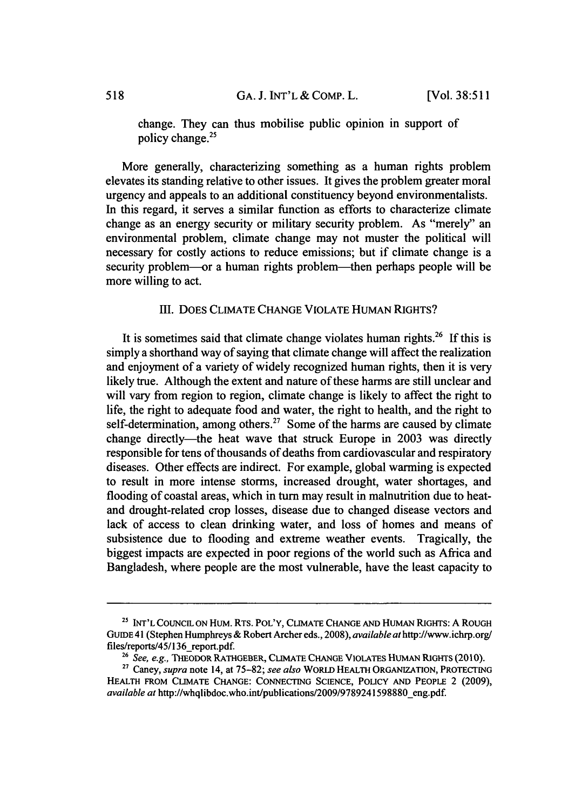change. They can thus mobilise public opinion in support of policy change.25

More generally, characterizing something as a human rights problem elevates its standing relative to other issues. It gives the problem greater moral urgency and appeals to an additional constituency beyond environmentalists. In this regard, it serves a similar function as efforts to characterize climate change as an energy security or military security problem. As "merely" an environmental problem, climate change may not muster the political will necessary for costly actions to reduce emissions; but if climate change is a security problem—or a human rights problem—then perhaps people will be more willing to act.

#### III. **DOES CLIMATE CHANGE** VIOLATE HUMAN **RIGHTS?**

It is sometimes said that climate change violates human rights.<sup>26</sup> If this is simply a shorthand way of saying that climate change will affect the realization and enjoyment of a variety of widely recognized human rights, then it is very likely true. Although the extent and nature of these harms are still unclear and will vary from region to region, climate change is likely to affect the right to life, the right to adequate food and water, the right to health, and the right to self-determination, among others.<sup>27</sup> Some of the harms are caused by climate change directly—the heat wave that struck Europe in 2003 was directly responsible for tens of thousands of deaths from cardiovascular and respiratory diseases. Other effects are indirect. For example, global warming is expected to result in more intense storms, increased drought, water shortages, and flooding of coastal areas, which in turn may result in malnutrition due to heatand drought-related crop losses, disease due to changed disease vectors and lack of access to clean drinking water, and loss of homes and means of subsistence due to flooding and extreme weather events. Tragically, the biggest impacts are expected in poor regions of the world such as Africa and Bangladesh, where people are the most vulnerable, have the least capacity to

**<sup>25</sup>** INT'L COUNCIL ON HuM. RTs. POL'Y, CLIMATE CHANGE **AND** HUMAN RIGHTS: **A** ROUGH GUIDE 41 (Stephen Humphreys & Robert Archer eds., 2008), *available at* http://www.ichrp.org/ files/reports/45/136\_report.pdf. 26*See, e.g., THEODOR RATHGEBER, CLIMATE CHANGE VIOLATES HUMAN RIGHTS (2010).* 

<sup>27</sup> Caney, *supra* note 14, at 75-82; *see also* WORLD **HEALTH ORGANIZATION,** PROTECTING **HEALTH** FROM **CLIMATE CHANGE: CONNECTING SCIENCE, POLICY AND PEOPLE** 2 (2009), *available at* http://whqlibdoc.who.int/publications/2009/9789241598880-eng.pdf.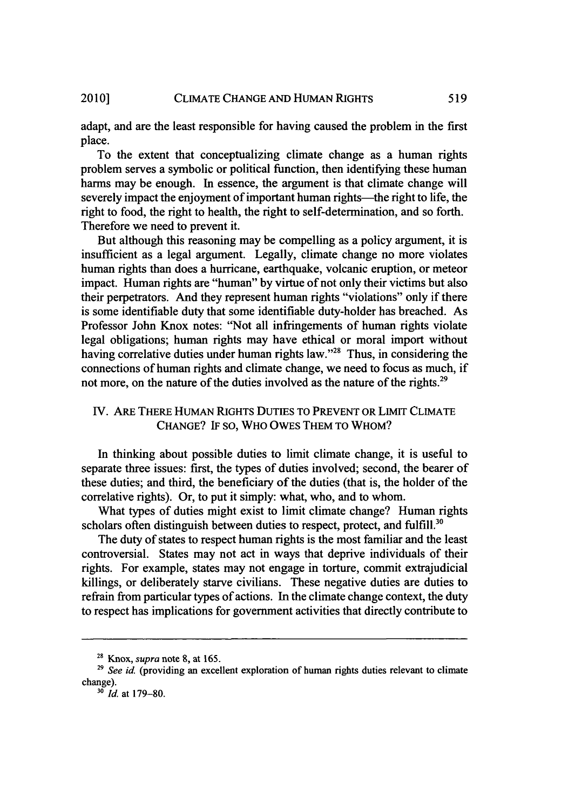adapt, and are the least responsible for having caused the problem in the first place.

To the extent that conceptualizing climate change as a human rights problem serves a symbolic or political function, then identifying these human harms may be enough. In essence, the argument is that climate change will severely impact the enjoyment of important human rights—the right to life, the right to food, the right to health, the right to self-determination, and so forth. Therefore we need to prevent it.

But although this reasoning may be compelling as a policy argument, it is insufficient as a legal argument. Legally, climate change no more violates human rights than does a hurricane, earthquake, volcanic eruption, or meteor impact. Human rights are "human" by virtue of not only their victims but also their perpetrators. And they represent human rights "violations" only if there is some identifiable duty that some identifiable duty-holder has breached. As Professor John Knox notes: "Not all infringements of human rights violate legal obligations; human rights may have ethical or moral import without having correlative duties under human rights law."<sup>28</sup> Thus, in considering the connections of human rights and climate change, we need to focus as much, if not more, on the nature of the duties involved as the nature of the rights.<sup>29</sup>

# IV. ARE THERE HUMAN RIGHTS DUTIES TO PREVENT OR LIMIT CLIMATE CHANGE? IF **SO,** WHO OWES THEM TO WHOM?

In thinking about possible duties to limit climate change, it is useful to separate three issues: first, the types of duties involved; second, the bearer of these duties; and third, the beneficiary of the duties (that is, the holder of the correlative rights). Or, to put it simply: what, who, and to whom.

What types of duties might exist to limit climate change? Human rights scholars often distinguish between duties to respect, protect, and fulfill.<sup>30</sup>

The duty of states to respect human rights is the most familiar and the least controversial. States may not act in ways that deprive individuals of their rights. For example, states may not engage in torture, commit extrajudicial killings, or deliberately starve civilians. These negative duties are duties to refrain from particular types of actions. In the climate change context, the duty to respect has implications for government activities that directly contribute to

*<sup>30</sup>Id.* at 179-80.

<sup>28</sup> Knox, *supra* note 8, at 165.

<sup>&</sup>lt;sup>29</sup> See id. (providing an excellent exploration of human rights duties relevant to climate change).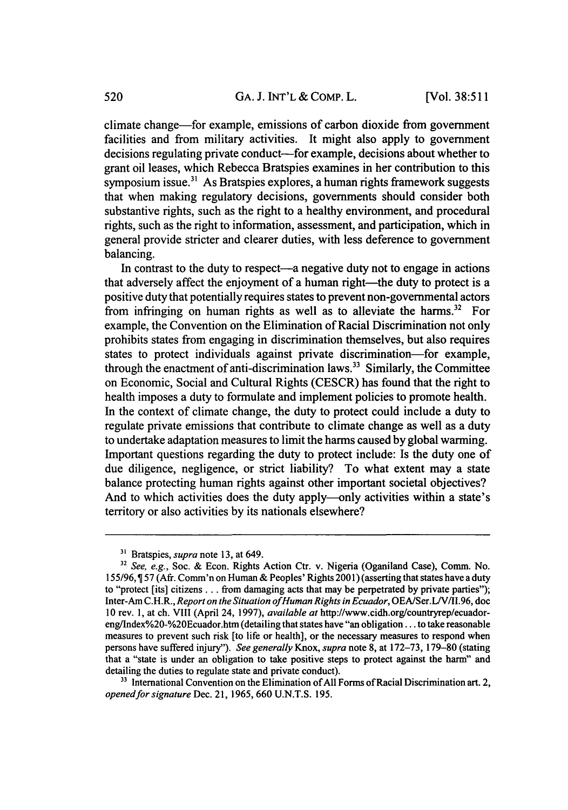climate change-for example, emissions of carbon dioxide from government facilities and from military activities. It might also apply to government decisions regulating private conduct—for example, decisions about whether to grant oil leases, which Rebecca Bratspies examines in her contribution to this symposium issue. $31$  As Bratspies explores, a human rights framework suggests that when making regulatory decisions, governments should consider both substantive rights, such as the right to a healthy environment, and procedural rights, such as the right to information, assessment, and participation, which in general provide stricter and clearer duties, with less deference to government balancing.

In contrast to the duty to respect—a negative duty not to engage in actions that adversely affect the enjoyment of a human right—the duty to protect is a positive duty that potentially requires states to prevent non-governmental actors from infringing on human rights as well as to alleviate the harms.<sup>32</sup> For example, the Convention on the Elimination of Racial Discrimination not only prohibits states from engaging in discrimination themselves, but also requires states to protect individuals against private discrimination-for example, through the enactment of anti-discrimination laws.<sup>33</sup> Similarly, the Committee on Economic, Social and Cultural Rights (CESCR) has found that the right to health imposes a duty to formulate and implement policies to promote health. In the context of climate change, the duty to protect could include a duty to regulate private emissions that contribute to climate change as well as a duty to undertake adaptation measures to limit the harms caused by global warming. Important questions regarding the duty to protect include: Is the duty one of due diligence, negligence, or strict liability? To what extent may a state balance protecting human rights against other important societal objectives? And to which activities does the duty apply—only activities within a state's territory or also activities by its nationals elsewhere?

**<sup>3&#</sup>x27;** Bratspies, *supra* note 13, at 649.

*<sup>32</sup> See, e.g.,* Soc. & Econ. Rights Action Ctr. v. Nigeria (Oganiland Case), Comm. No. 155/96,1 57 (Afr. Comm'n on Human & Peoples' Rights 2001) (asserting that states have a duty to "protect [its] citizens **...** from damaging acts that may be perpetrated by private parties"); Inter-Am C.H.R., *Report on the Situation ofHuman Rights in Ecuador,* OEA/Ser.L/V/II.96, doc 10 rev. 1, at ch. VIII (April 24, 1997), *available at* http://www.cidh.org/countryrep/ecuadoreng/Index%20-%20Ecuador.htm (detailing that states have "an obligation.., to take reasonable measures to prevent such risk [to life or health], or the necessary measures to respond when persons have suffered injury"). See generally Knox, *supra* note 8, at 172-73, 179-80 (stating that a "state is under an obligation to take positive steps to protect against the harm" and detailing the duties to regulate state and private conduct).

<sup>&</sup>lt;sup>33</sup> International Convention on the Elimination of All Forms of Racial Discrimination art. 2, *openedfor signature* Dec. 21, 1965, 660 U.N.T.S. 195.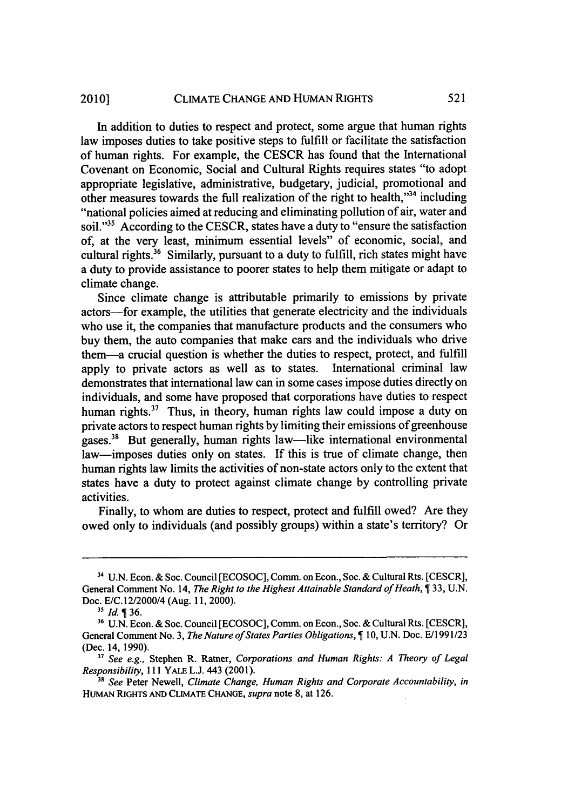#### CLIMATE CHANGE **AND** HUMAN RIGHTS 2010]

In addition to duties to respect and protect, some argue that human rights law imposes duties to take positive steps to fulfill or facilitate the satisfaction of human rights. For example, the CESCR has found that the International Covenant on Economic, Social and Cultural Rights requires states "to adopt appropriate legislative, administrative, budgetary, judicial, promotional and other measures towards the full realization of the right to health,"<sup>34</sup> including "national policies aimed at reducing and eliminating pollution of air, water and soil."<sup>35</sup> According to the CESCR, states have a duty to "ensure the satisfaction" of, at the very least, minimum essential levels" of economic, social, and cultural rights.36 Similarly, pursuant to a duty to fulfill, rich states might have a duty to provide assistance to poorer states to help them mitigate or adapt to climate change.

Since climate change is attributable primarily to emissions by private actors-for example, the utilities that generate electricity and the individuals who use it, the companies that manufacture products and the consumers who buy them, the auto companies that make cars and the individuals who drive them-a crucial question is whether the duties to respect, protect, and fulfill apply to private actors as well as to states. International criminal law demonstrates that international law can in some cases impose duties directly on individuals, and some have proposed that corporations have duties to respect human rights. $37$  Thus, in theory, human rights law could impose a duty on private actors to respect human rights by limiting their emissions of greenhouse gases.<sup>38</sup> But generally, human rights law—like international environmental law—imposes duties only on states. If this is true of climate change, then human rights law limits the activities of non-state actors only to the extent that states have a duty to protect against climate change by controlling private activities.

Finally, to whom are duties to respect, protect and fulfill owed? Are they owed only to individuals (and possibly groups) within a state's territory? Or

**<sup>31</sup>**U.N. Econ. & Soc. Council [ECOSOC], Comm. on Econ., Soc. & Cultural Rts. [CESCR], General Comment No. 14, *The Right to the Highest Attainable Standard of Heath*, **1** 33, U.N. Doc. E/C. 12/2000/4 (Aug. 11, 2000).

**<sup>35</sup>***Id.* 36.

**<sup>36</sup>**U.N. Econ. & Soc. Council [ECOSOC], Comm. on Econ., Soc. & Cultural Rts. [CESCR], General Comment No. 3, *The Nature of States Parties Obligations,* 10, U.N. Doc. *E/i* 991/23 (Dec. 14, 1990).

<sup>&</sup>lt;sup>37</sup> See e.g., Stephen R. Ratner, *Corporations and Human Rights: A Theory of Legal Responsibility,* 111 YALE L.J. 443 (2001).

*<sup>38</sup> See* Peter Newell, *Climate Change, Human Rights and Corporate Accountability, in* HUMAN RIGHTS **AND CLIMATE CHANGE,** *supra* note 8, at 126.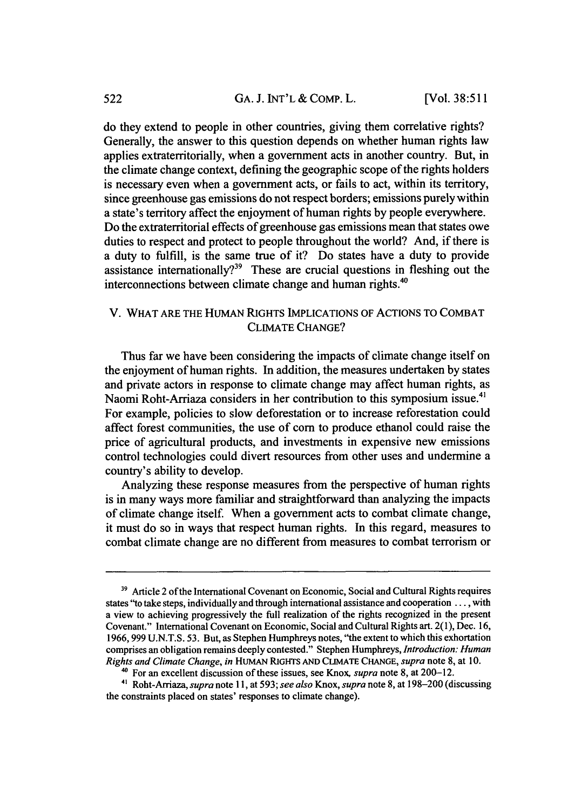do they extend to people in other countries, giving them correlative rights? Generally, the answer to this question depends on whether human rights law applies extraterritorially, when a government acts in another country. But, in the climate change context, defining the geographic scope of the rights holders is necessary even when a government acts, or fails to act, within its territory, since greenhouse gas emissions do not respect borders; emissions purely within a state's territory affect the enjoyment of human rights by people everywhere. Do the extraterritorial effects of greenhouse gas emissions mean that states owe duties to respect and protect to people throughout the world? And, if there is a duty to fulfill, is the same true of it? Do states have a duty to provide assistance internationally?<sup>39</sup> These are crucial questions in fleshing out the interconnections between climate change and human rights.<sup>40</sup>

## V. WHAT ARE THE HUMAN RIGHTS IMPLICATIONS OF ACTIONS TO COMBAT CLIMATE CHANGE?

Thus far we have been considering the impacts of climate change itself on the enjoyment of human rights. In addition, the measures undertaken by states and private actors in response to climate change may affect human rights, as Naomi Roht-Arriaza considers in her contribution to this symposium issue.<sup>41</sup> For example, policies to slow deforestation or to increase reforestation could affect forest communities, the use of corn to produce ethanol could raise the price of agricultural products, and investments in expensive new emissions control technologies could divert resources from other uses and undermine a country's ability to develop.

Analyzing these response measures from the perspective of human rights is in many ways more familiar and straightforward than analyzing the impacts of climate change itself. When a government acts to combat climate change, it must do so in ways that respect human rights. In this regard, measures to combat climate change are no different from measures to combat terrorism or

<sup>&</sup>lt;sup>39</sup> Article 2 of the International Covenant on Economic, Social and Cultural Rights requires states "to take steps, individually and through international assistance and cooperation **....** with a view to achieving progressively the full realization of the rights recognized in the present Covenant." International Covenant on Economic, Social and Cultural Rights art. 2(1), Dec. 16, 1966, 999 U.N.T.S. 53. But, as Stephen Humphreys notes, "the extent to which this exhortation comprises an obligation remains deeply contested." Stephen Humphreys, *Introduction: Human Rights and* Climate Change, in HuMAN **RIGHTS AND** CLUIATE CHANGE, *supra* note 8, at 10.

<sup>40</sup>For an excellent discussion of these issues, see Knox, *supra* note 8, at 200-12.

**<sup>41</sup>**Roht-Arriaza, *supra* note 11, at 593; *see also* Knox, *supra* note 8, at 198-200 (discussing the constraints placed on states' responses to climate change).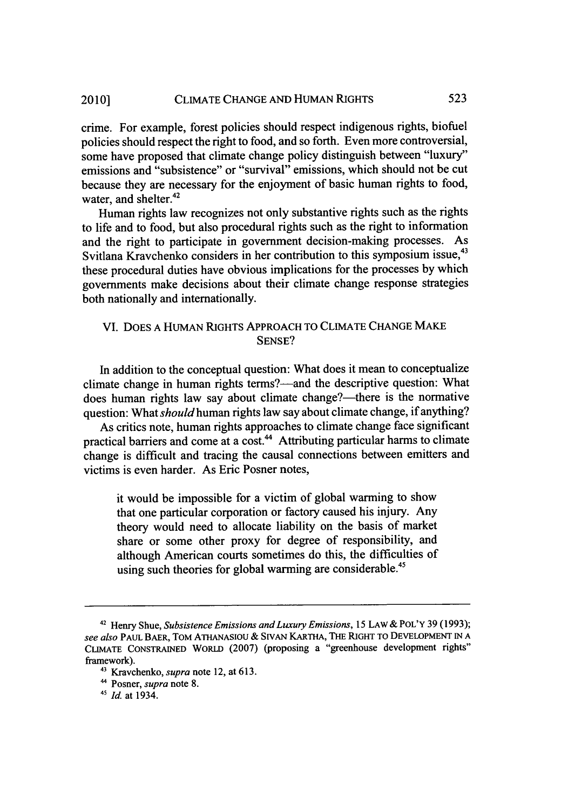crime. For example, forest policies should respect indigenous rights, biofuel policies should respect the right to food, and so forth. Even more controversial, some have proposed that climate change policy distinguish between "luxury" emissions and "subsistence" or "survival" emissions, which should not be cut because they are necessary for the enjoyment of basic human rights to food, water, and shelter.<sup>42</sup>

Human rights law recognizes not only substantive rights such as the rights to life and to food, but also procedural rights such as the right to information and the right to participate in government decision-making processes. As Svitlana Kravchenko considers in her contribution to this symposium issue,<sup>43</sup> these procedural duties have obvious implications for the processes by which governments make decisions about their climate change response strategies both nationally and internationally.

# VI. DOES A HUMAN RIGHTS APPROACH TO CLIMATE CHANGE MAKE SENSE?

In addition to the conceptual question: What does it mean to conceptualize climate change in human rights terms?—and the descriptive question: What does human rights law say about climate change?—there is the normative question: What *should* human rights law say about climate change, if anything?

As critics note, human rights approaches to climate change face significant practical barriers and come at a cost.<sup>44</sup> Attributing particular harms to climate change is difficult and tracing the causal connections between emitters and victims is even harder. As Eric Posner notes,

it would be impossible for a victim of global warming to show that one particular corporation or factory caused his injury. Any theory would need to allocate liability on the basis of market share or some other proxy for degree of responsibility, and although American courts sometimes do this, the difficulties of using such theories for global warming are considerable.<sup>45</sup>

**<sup>42</sup>**Henry Shue, *Subsistence Emissions and Luxury Emissions,* 15 LAW& POL'Y 39 (1993); *see also* PAUL BAER, TOM ATHANASIOU & SWAN KARTHA, THE RIGHT TO DEVELOPMENT IN A CLIMATE CONSTRAINED WORLD (2007) (proposing a "greenhouse development rights" framework).

<sup>&#</sup>x27;3 Kravchenko, *supra* note 12, at 613.

**<sup>&</sup>quot;** Posner, *supra* note 8.

*<sup>41</sup>Id.* at 1934.